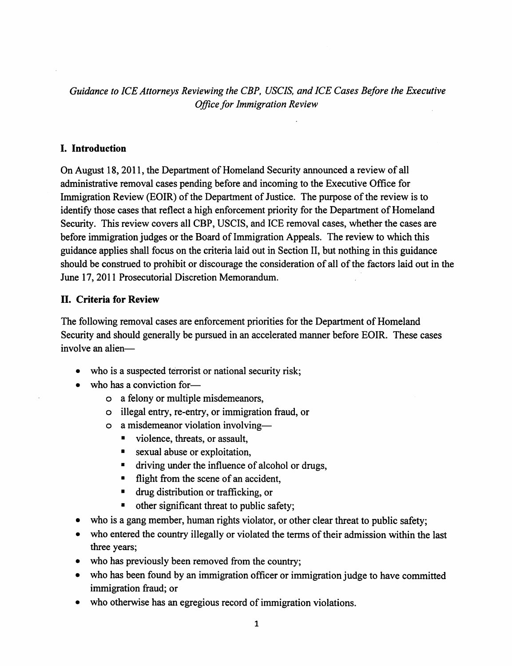*Guidance to ICE Attorneys Reviewing the CBP, USCIS, and ICE Cases Before the Executive Office for Immigration Review*

### I. Introduction

On August 18, 2011, the Department of Homeland Security announced a review of all administrative removal cases pending before and incoming to the Executive Office for Immigration Review (EOIR) of the Department of Justice. The purpose of the review is to identify those cases that reflect a high enforcement priority for the Department of Homeland Security. This review covers all CBP, USCIS, and ICE removal cases, whether the cases are before immigration judges or the Board of Immigration Appeals. The review to which this guidance applies shall focus on the criteria laid out in Section II, but nothing in this guidance should be construed to prohibit or discourage the consideration of all of the factors laid out in the June 17, 2011 Prosecutorial Discretion Memorandum.

## II. Criteria for Review

The following removal cases are enforcement priorities for the Department of Homeland Security and should generally be pursued in an accelerated manner before EOIR. These cases involve an alien-

- who is a suspected terrorist or national security risk;
- who has a conviction for
	- o a felony or multiple misdemeanors,
	- o illegal entry, re-entry, or immigration fraud, or
	- o a misdemeanor violation involving-
		- violence, threats, or assault,
		- sexual abuse or exploitation,
		- driving under the influence of alcohol or drugs,
		- flight from the scene of an accident,
		- drug distribution or trafficking, or
		- other significant threat to public safety;
- who is a gang member, human rights violator, or other clear threat to public safety;
- who entered the country illegally or violated the terms of their admission within the last three years;
- who has previously been removed from the country;
- who has been found by an immigration officer or immigration judge to have committed immigration fraud; or
- who otherwise has an egregious record of immigration violations.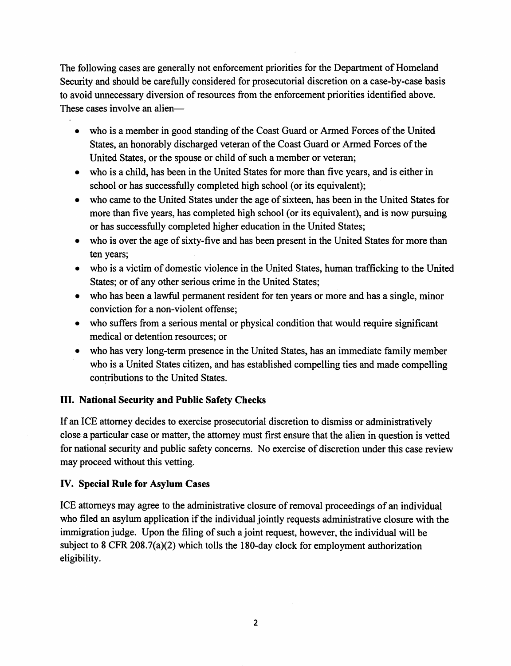The following cases are generally not enforcement priorities for the Department of Homeland Security and should be carefully considered for prosecutorial discretion on a case-by-case basis to avoid unnecessary diversion of resources from the enforcement priorities identified above. These cases involve an alien-

- who is a member in good standing of the Coast Guard or Armed Forces of the United States, an honorably discharged veteran of the Coast Guard or Armed Forces of the United States, or the spouse or child of such a member or veteran;
- who is a child, has been in the United States for more than five years, and is either in school or has successfully completed high school (or its equivalent);
- who came to the United States under the age of sixteen, has been in the United States for more than five years, has completed high school (or its equivalent), and is now pursuing or has successfully completed higher education in the United States;
- who is over the age of sixty-five and has been present in the United States for more than ten years;
- who is a victim of domestic violence in the United States, human trafficking to the United States; or of any other serious crime in the United States;
- who has been a lawful permanent resident for ten years or more and has a single, minor conviction for a non-violent offense;
- who suffers from a serious mental or physical condition that would require significant medical or detention resources; or
- who has very long-term presence in the United States, has an immediate family member who is a United States citizen, and has established compelling ties and made compelling contributions to the United States.

# III. National Security and Public Safety Checks

If an ICE attorney decides to exercise prosecutorial discretion to dismiss or administratively close.a particular case or matter, the attorney must first ensure that the alien in question is vetted for national security and public safety concerns. No exercise of discretion under this case review may proceed without this vetting.

## IV. Special Rule for Asylum Cases

ICE attorneys may agree to the administrative closure of removal proceedings of an individual who filed an asylum application if the individual jointly requests administrative closure with the immigration judge. Upon the filing of such a joint request, however, the individual will be subject to 8 CFR 208.7(a)(2) which tolls the 180-day clock for employment authorization eligibility.